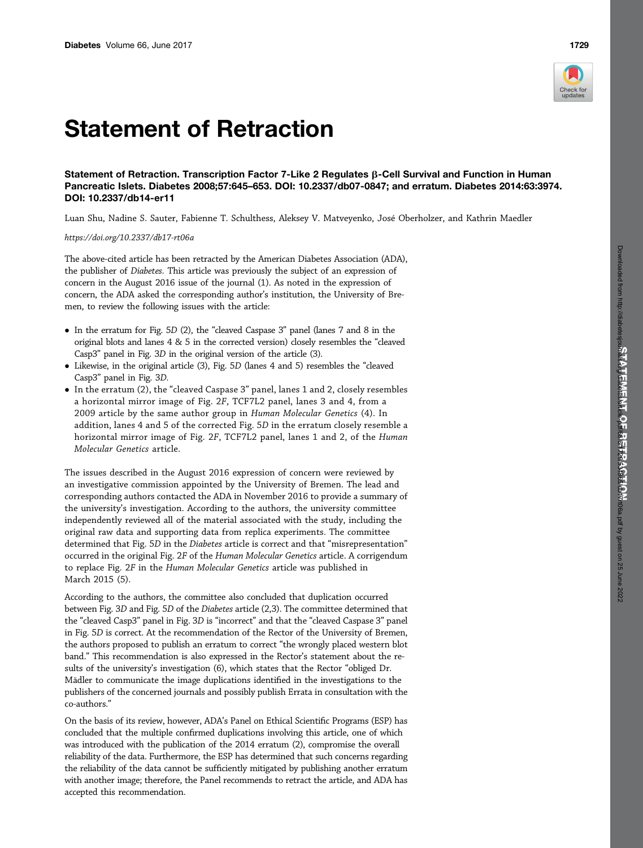## Statement of Retraction

Statement of Retraction. Transcription Factor 7-Like 2 Regulates  $\beta$ -Cell Survival and Function in Human Pancreatic Islets. Diabetes 2008;57:645–653. DOI: 10.2337/db07-0847; and erratum. Diabetes 2014:63:3974. DOI: 10.2337/db14-er11

Luan Shu, Nadine S. Sauter, Fabienne T. Schulthess, Aleksey V. Matveyenko, José Oberholzer, and Kathrin Maedler

<https://doi.org/10.2337/db17-rt06a>

The above-cited article has been retracted by the American Diabetes Association (ADA), the publisher of Diabetes. This article was previously the subject of an expression of concern in the August 2016 issue of the journal (1). As noted in the expression of concern, the ADA asked the corresponding author's institution, the University of Bremen, to review the following issues with the article:

- In the erratum for Fig. 5D (2), the "cleaved Caspase 3" panel (lanes 7 and 8 in the original blots and lanes 4 & 5 in the corrected version) closely resembles the "cleaved Casp3" panel in Fig. 3D in the original version of the article (3).
- Likewise, in the original article (3), Fig. 5D (lanes 4 and 5) resembles the "cleaved Casp3" panel in Fig. 3D.
- In the erratum (2), the "cleaved Caspase 3" panel, lanes 1 and 2, closely resembles a horizontal mirror image of Fig. 2F, TCF7L2 panel, lanes 3 and 4, from a 2009 article by the same author group in Human Molecular Genetics (4). In addition, lanes 4 and 5 of the corrected Fig. 5D in the erratum closely resemble a horizontal mirror image of Fig. 2F, TCF7L2 panel, lanes 1 and 2, of the Human Molecular Genetics article.

The issues described in the August 2016 expression of concern were reviewed by an investigative commission appointed by the University of Bremen. The lead and corresponding authors contacted the ADA in November 2016 to provide a summary of the university's investigation. According to the authors, the university committee independently reviewed all of the material associated with the study, including the original raw data and supporting data from replica experiments. The committee determined that Fig. 5D in the Diabetes article is correct and that "misrepresentation" occurred in the original Fig. 2F of the Human Molecular Genetics article. A corrigendum to replace Fig. 2F in the Human Molecular Genetics article was published in March 2015 (5).

According to the authors, the committee also concluded that duplication occurred between Fig. 3D and Fig. 5D of the Diabetes article (2,3). The committee determined that the "cleaved Casp3" panel in Fig. 3D is "incorrect" and that the "cleaved Caspase 3" panel in Fig. 5D is correct. At the recommendation of the Rector of the University of Bremen, the authors proposed to publish an erratum to correct "the wrongly placed western blot band." This recommendation is also expressed in the Rector's statement about the results of the university's investigation (6), which states that the Rector "obliged Dr. Mädler to communicate the image duplications identified in the investigations to the publishers of the concerned journals and possibly publish Errata in consultation with the co-authors."

On the basis of its review, however, ADA's Panel on Ethical Scientific Programs (ESP) has concluded that the multiple confirmed duplications involving this article, one of which was introduced with the publication of the 2014 erratum (2), compromise the overall reliability of the data. Furthermore, the ESP has determined that such concerns regarding the reliability of the data cannot be sufficiently mitigated by publishing another erratum with another image; therefore, the Panel recommends to retract the article, and ADA has accepted this recommendation.